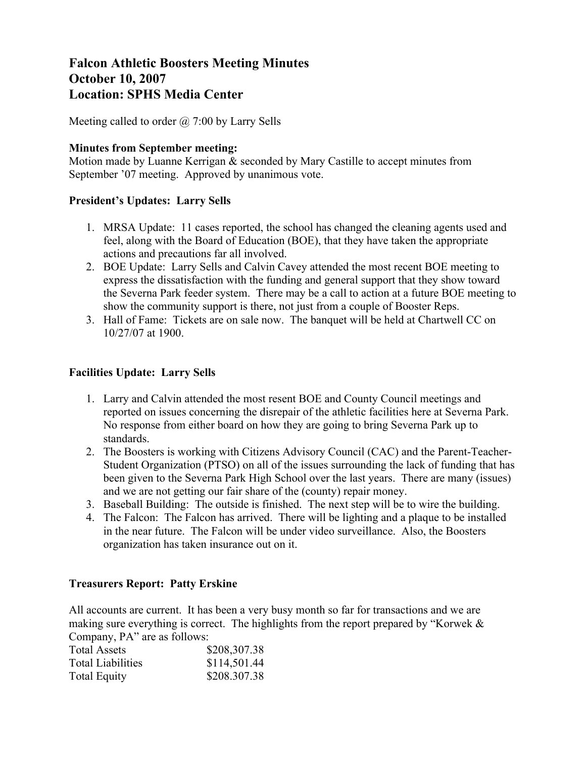# **Falcon Athletic Boosters Meeting Minutes October 10, 2007 Location: SPHS Media Center**

Meeting called to order  $\omega$  7:00 by Larry Sells

## **Minutes from September meeting:**

Motion made by Luanne Kerrigan & seconded by Mary Castille to accept minutes from September '07 meeting. Approved by unanimous vote.

## **President's Updates: Larry Sells**

- 1. MRSA Update: 11 cases reported, the school has changed the cleaning agents used and feel, along with the Board of Education (BOE), that they have taken the appropriate actions and precautions far all involved.
- 2. BOE Update: Larry Sells and Calvin Cavey attended the most recent BOE meeting to express the dissatisfaction with the funding and general support that they show toward the Severna Park feeder system. There may be a call to action at a future BOE meeting to show the community support is there, not just from a couple of Booster Reps.
- 3. Hall of Fame: Tickets are on sale now. The banquet will be held at Chartwell CC on 10/27/07 at 1900.

## **Facilities Update: Larry Sells**

- 1. Larry and Calvin attended the most resent BOE and County Council meetings and reported on issues concerning the disrepair of the athletic facilities here at Severna Park. No response from either board on how they are going to bring Severna Park up to standards.
- 2. The Boosters is working with Citizens Advisory Council (CAC) and the Parent-Teacher-Student Organization (PTSO) on all of the issues surrounding the lack of funding that has been given to the Severna Park High School over the last years. There are many (issues) and we are not getting our fair share of the (county) repair money.
- 3. Baseball Building: The outside is finished. The next step will be to wire the building.
- 4. The Falcon: The Falcon has arrived. There will be lighting and a plaque to be installed in the near future. The Falcon will be under video surveillance. Also, the Boosters organization has taken insurance out on it.

#### **Treasurers Report: Patty Erskine**

All accounts are current. It has been a very busy month so far for transactions and we are making sure everything is correct. The highlights from the report prepared by "Korwek & Company, PA" are as follows:

| <b>Total Assets</b>      | \$208,307.38 |  |  |
|--------------------------|--------------|--|--|
| <b>Total Liabilities</b> | \$114,501.44 |  |  |
| <b>Total Equity</b>      | \$208.307.38 |  |  |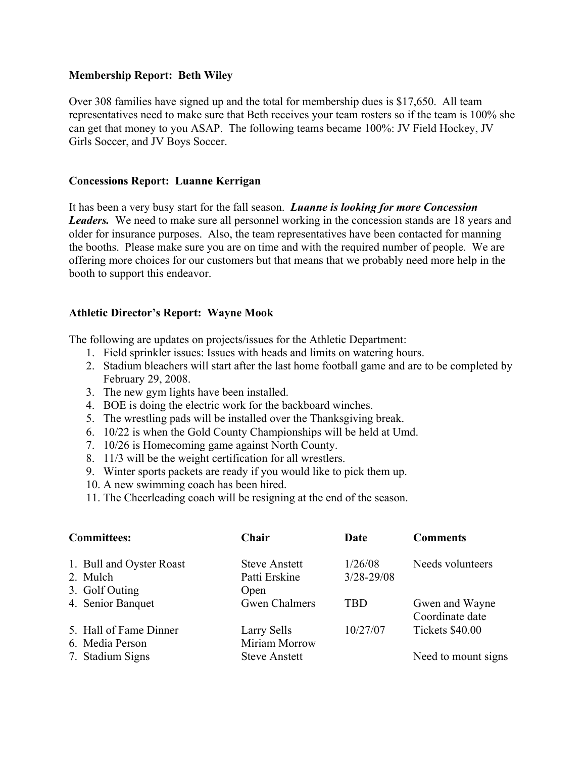#### **Membership Report: Beth Wiley**

Over 308 families have signed up and the total for membership dues is \$17,650. All team representatives need to make sure that Beth receives your team rosters so if the team is 100% she can get that money to you ASAP. The following teams became 100%: JV Field Hockey, JV Girls Soccer, and JV Boys Soccer.

## **Concessions Report: Luanne Kerrigan**

It has been a very busy start for the fall season. *Luanne is looking for more Concession Leaders.* We need to make sure all personnel working in the concession stands are 18 years and older for insurance purposes. Also, the team representatives have been contacted for manning the booths. Please make sure you are on time and with the required number of people. We are offering more choices for our customers but that means that we probably need more help in the booth to support this endeavor.

## **Athletic Director's Report: Wayne Mook**

The following are updates on projects/issues for the Athletic Department:

- 1. Field sprinkler issues: Issues with heads and limits on watering hours.
- 2. Stadium bleachers will start after the last home football game and are to be completed by February 29, 2008.
- 3. The new gym lights have been installed.
- 4. BOE is doing the electric work for the backboard winches.
- 5. The wrestling pads will be installed over the Thanksgiving break.
- 6. 10/22 is when the Gold County Championships will be held at Umd.
- 7. 10/26 is Homecoming game against North County.
- 8. 11/3 will be the weight certification for all wrestlers.
- 9. Winter sports packets are ready if you would like to pick them up.
- 10. A new swimming coach has been hired.
- 11. The Cheerleading coach will be resigning at the end of the season.

| <b>Committees:</b>                                     | Chair                                         | Date                      | <b>Comments</b>                   |
|--------------------------------------------------------|-----------------------------------------------|---------------------------|-----------------------------------|
| 1. Bull and Oyster Roast<br>2. Mulch<br>3. Golf Outing | <b>Steve Anstett</b><br>Patti Erskine<br>Open | 1/26/08<br>$3/28 - 29/08$ | Needs volunteers                  |
| 4. Senior Banquet                                      | <b>Gwen Chalmers</b>                          | <b>TBD</b>                | Gwen and Wayne<br>Coordinate date |
| 5. Hall of Fame Dinner<br>6. Media Person              | Larry Sells<br>Miriam Morrow                  | 10/27/07                  | Tickets \$40.00                   |
| 7. Stadium Signs                                       | <b>Steve Anstett</b>                          |                           | Need to mount signs               |